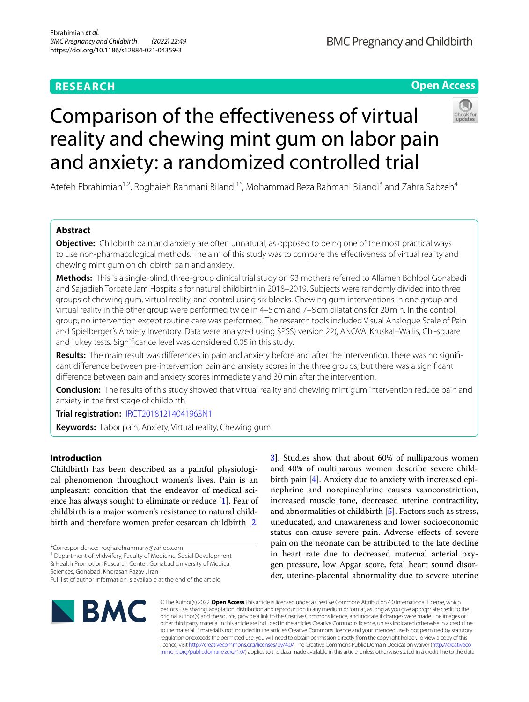# **RESEARCH**

# **BMC Pregnancy and Childbirth**

# **Open Access**



# Comparison of the efectiveness of virtual reality and chewing mint gum on labor pain and anxiety: a randomized controlled trial

Atefeh Ebrahimian<sup>1,2</sup>, Roghaieh Rahmani Bilandi<sup>1\*</sup>, Mohammad Reza Rahmani Bilandī<sup>3</sup> and Zahra Sabzeh<sup>4</sup>

# **Abstract**

**Objective:** Childbirth pain and anxiety are often unnatural, as opposed to being one of the most practical ways to use non-pharmacological methods. The aim of this study was to compare the efectiveness of virtual reality and chewing mint gum on childbirth pain and anxiety.

**Methods:** This is a single-blind, three-group clinical trial study on 93 mothers referred to Allameh Bohlool Gonabadi and Sajjadieh Torbate Jam Hospitals for natural childbirth in 2018–2019. Subjects were randomly divided into three groups of chewing gum, virtual reality, and control using six blocks. Chewing gum interventions in one group and virtual reality in the other group were performed twice in 4–5 cm and 7–8 cm dilatations for 20min. In the control group, no intervention except routine care was performed. The research tools included Visual Analogue Scale of Pain and Spielberger's Anxiety Inventory. Data were analyzed using SPSS) version 22(, ANOVA, Kruskal–Wallis, Chi-square and Tukey tests. Signifcance level was considered 0.05 in this study.

**Results:** The main result was diferences in pain and anxiety before and after the intervention. There was no signifcant diference between pre-intervention pain and anxiety scores in the three groups, but there was a signifcant diference between pain and anxiety scores immediately and 30min after the intervention.

**Conclusion:** The results of this study showed that virtual reality and chewing mint gum intervention reduce pain and anxiety in the frst stage of childbirth.

**Trial registration:** [IRCT20181214041963N1](https://en.irct.ir/trial/36240).

**Keywords:** Labor pain, Anxiety, Virtual reality, Chewing gum

# **Introduction**

Childbirth has been described as a painful physiological phenomenon throughout women's lives. Pain is an unpleasant condition that the endeavor of medical science has always sought to eliminate or reduce [[1](#page-6-0)]. Fear of childbirth is a major women's resistance to natural childbirth and therefore women prefer cesarean childbirth [\[2](#page-6-1),

\*Correspondence: roghaiehrahmany@yahoo.com

<sup>1</sup> Department of Midwifery, Faculty of Medicine, Social Development

& Health Promotion Research Center, Gonabad University of Medical Sciences, Gonabad, Khorasan Razavi, Iran

[3\]](#page-6-2). Studies show that about 60% of nulliparous women and 40% of multiparous women describe severe childbirth pain [\[4](#page-6-3)]. Anxiety due to anxiety with increased epinephrine and norepinephrine causes vasoconstriction, increased muscle tone, decreased uterine contractility, and abnormalities of childbirth [[5\]](#page-7-0). Factors such as stress, uneducated, and unawareness and lower socioeconomic status can cause severe pain. Adverse efects of severe pain on the neonate can be attributed to the late decline in heart rate due to decreased maternal arterial oxygen pressure, low Apgar score, fetal heart sound disorder, uterine-placental abnormality due to severe uterine



© The Author(s) 2022. **Open Access** This article is licensed under a Creative Commons Attribution 4.0 International License, which permits use, sharing, adaptation, distribution and reproduction in any medium or format, as long as you give appropriate credit to the original author(s) and the source, provide a link to the Creative Commons licence, and indicate if changes were made. The images or other third party material in this article are included in the article's Creative Commons licence, unless indicated otherwise in a credit line to the material. If material is not included in the article's Creative Commons licence and your intended use is not permitted by statutory regulation or exceeds the permitted use, you will need to obtain permission directly from the copyright holder. To view a copy of this licence, visit [http://creativecommons.org/licenses/by/4.0/.](http://creativecommons.org/licenses/by/4.0/) The Creative Commons Public Domain Dedication waiver ([http://creativeco](http://creativecommons.org/publicdomain/zero/1.0/) [mmons.org/publicdomain/zero/1.0/](http://creativecommons.org/publicdomain/zero/1.0/)) applies to the data made available in this article, unless otherwise stated in a credit line to the data.

Full list of author information is available at the end of the article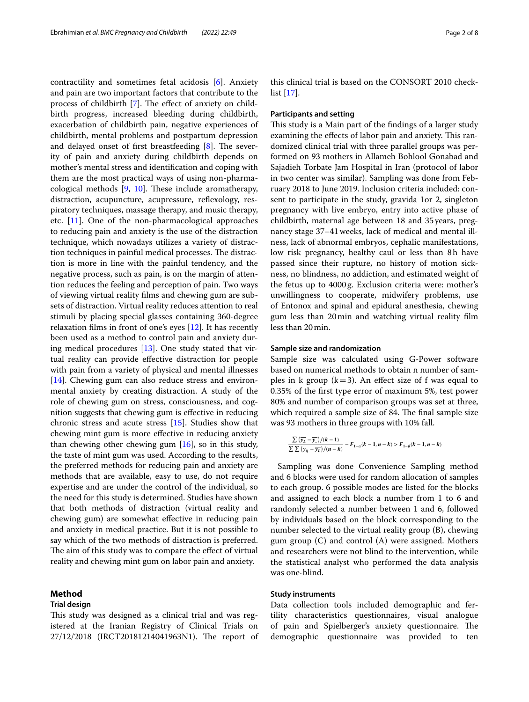contractility and sometimes fetal acidosis [\[6](#page-7-1)]. Anxiety and pain are two important factors that contribute to the process of childbirth [[7](#page-7-2)]. The effect of anxiety on childbirth progress, increased bleeding during childbirth, exacerbation of childbirth pain, negative experiences of childbirth, mental problems and postpartum depression and delayed onset of first breastfeeding  $[8]$  $[8]$ . The severity of pain and anxiety during childbirth depends on mother's mental stress and identifcation and coping with them are the most practical ways of using non-pharmacological methods  $[9, 10]$  $[9, 10]$  $[9, 10]$  $[9, 10]$ . These include aromatherapy, distraction, acupuncture, acupressure, refexology, respiratory techniques, massage therapy, and music therapy, etc. [\[11\]](#page-7-6). One of the non-pharmacological approaches to reducing pain and anxiety is the use of the distraction technique, which nowadays utilizes a variety of distraction techniques in painful medical processes. The distraction is more in line with the painful tendency, and the negative process, such as pain, is on the margin of attention reduces the feeling and perception of pain. Two ways of viewing virtual reality flms and chewing gum are subsets of distraction. Virtual reality reduces attention to real stimuli by placing special glasses containing 360-degree relaxation flms in front of one's eyes [\[12](#page-7-7)]. It has recently been used as a method to control pain and anxiety during medical procedures [[13\]](#page-7-8). One study stated that virtual reality can provide efective distraction for people with pain from a variety of physical and mental illnesses [[14\]](#page-7-9). Chewing gum can also reduce stress and environmental anxiety by creating distraction. A study of the role of chewing gum on stress, consciousness, and cognition suggests that chewing gum is efective in reducing chronic stress and acute stress [\[15](#page-7-10)]. Studies show that chewing mint gum is more efective in reducing anxiety than chewing other chewing gum  $[16]$ , so in this study, the taste of mint gum was used. According to the results, the preferred methods for reducing pain and anxiety are methods that are available, easy to use, do not require expertise and are under the control of the individual, so the need for this study is determined. Studies have shown that both methods of distraction (virtual reality and chewing gum) are somewhat efective in reducing pain and anxiety in medical practice. But it is not possible to say which of the two methods of distraction is preferred. The aim of this study was to compare the effect of virtual reality and chewing mint gum on labor pain and anxiety.

# **Method**

# **Trial design**

This study was designed as a clinical trial and was registered at the Iranian Registry of Clinical Trials on 27/12/2018 (IRCT20181214041963N1). The report of this clinical trial is based on the CONSORT 2010 checklist [[17](#page-7-12)].

#### **Participants and setting**

This study is a Main part of the findings of a larger study examining the effects of labor pain and anxiety. This randomized clinical trial with three parallel groups was performed on 93 mothers in Allameh Bohlool Gonabad and Sajadieh Torbate Jam Hospital in Iran (protocol of labor in two center was similar). Sampling was done from February 2018 to June 2019. Inclusion criteria included: consent to participate in the study, gravida 1or 2, singleton pregnancy with live embryo, entry into active phase of childbirth, maternal age between 18 and 35years, pregnancy stage 37–41weeks, lack of medical and mental illness, lack of abnormal embryos, cephalic manifestations, low risk pregnancy, healthy caul or less than 8h have passed since their rupture, no history of motion sickness, no blindness, no addiction, and estimated weight of the fetus up to 4000g. Exclusion criteria were: mother's unwillingness to cooperate, midwifery problems, use of Entonox and spinal and epidural anesthesia, chewing gum less than 20min and watching virtual reality flm less than 20min.

### **Sample size and randomization**

Sample size was calculated using G-Power software based on numerical methods to obtain n number of samples in k group  $(k=3)$ . An effect size of f was equal to 0.35% of the frst type error of maximum 5%, test power 80% and number of comparison groups was set at three, which required a sample size of 84. The final sample size was 93 mothers in three groups with 10% fall.

$$
\frac{\sum \left(\overline{y_L}-\overline{y_{..}}\right)/(k-1)}{\sum \sum \left(y_{ij}-\overline{y_L}\right)/(n-k)}-F_{1-\alpha}(k-1,n-k)>F_{1-\beta}(k-1,n-k)
$$

Sampling was done Convenience Sampling method and 6 blocks were used for random allocation of samples to each group. 6 possible modes are listed for the blocks and assigned to each block a number from 1 to 6 and randomly selected a number between 1 and 6, followed by individuals based on the block corresponding to the number selected to the virtual reality group (B), chewing gum group (C) and control (A) were assigned. Mothers and researchers were not blind to the intervention, while the statistical analyst who performed the data analysis was one-blind.

# **Study instruments**

Data collection tools included demographic and fertility characteristics questionnaires, visual analogue of pain and Spielberger's anxiety questionnaire. The demographic questionnaire was provided to ten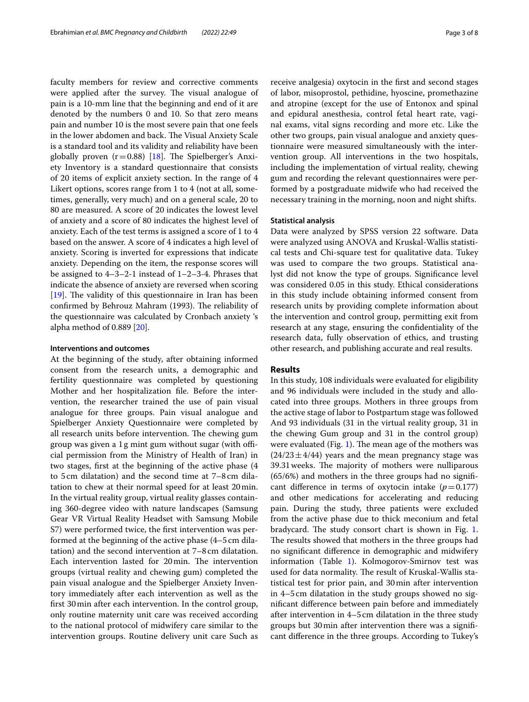faculty members for review and corrective comments were applied after the survey. The visual analogue of pain is a 10-mm line that the beginning and end of it are denoted by the numbers 0 and 10. So that zero means pain and number 10 is the most severe pain that one feels in the lower abdomen and back. The Visual Anxiety Scale is a standard tool and its validity and reliability have been globally proven ( $r=0.88$ ) [\[18](#page-7-13)]. The Spielberger's Anxiety Inventory is a standard questionnaire that consists of 20 items of explicit anxiety section. In the range of 4 Likert options, scores range from 1 to 4 (not at all, sometimes, generally, very much) and on a general scale, 20 to 80 are measured. A score of 20 indicates the lowest level of anxiety and a score of 80 indicates the highest level of anxiety. Each of the test terms is assigned a score of 1 to 4 based on the answer. A score of 4 indicates a high level of anxiety. Scoring is inverted for expressions that indicate anxiety. Depending on the item, the response scores will be assigned to 4–3–2-1 instead of 1–2–3-4. Phrases that indicate the absence of anxiety are reversed when scoring  $[19]$  $[19]$ . The validity of this questionnaire in Iran has been confirmed by Behrouz Mahram (1993). The reliability of the questionnaire was calculated by Cronbach anxiety 's alpha method of 0.889 [\[20\]](#page-7-15).

# **Interventions and outcomes**

At the beginning of the study, after obtaining informed consent from the research units, a demographic and fertility questionnaire was completed by questioning Mother and her hospitalization fle. Before the intervention, the researcher trained the use of pain visual analogue for three groups. Pain visual analogue and Spielberger Anxiety Questionnaire were completed by all research units before intervention. The chewing gum group was given a  $1g$  mint gum without sugar (with official permission from the Ministry of Health of Iran) in two stages, frst at the beginning of the active phase (4 to 5cm dilatation) and the second time at 7–8 cm dilatation to chew at their normal speed for at least 20min. In the virtual reality group, virtual reality glasses containing 360-degree video with nature landscapes (Samsung Gear VR Virtual Reality Headset with Samsung Mobile S7) were performed twice, the frst intervention was performed at the beginning of the active phase (4–5cm dilatation) and the second intervention at 7–8cm dilatation. Each intervention lasted for 20min. The intervention groups (virtual reality and chewing gum) completed the pain visual analogue and the Spielberger Anxiety Inventory immediately after each intervention as well as the frst 30min after each intervention. In the control group, only routine maternity unit care was received according to the national protocol of midwifery care similar to the intervention groups. Routine delivery unit care Such as receive analgesia) oxytocin in the frst and second stages of labor, misoprostol, pethidine, hyoscine, promethazine and atropine (except for the use of Entonox and spinal and epidural anesthesia, control fetal heart rate, vaginal exams, vital signs recording and more etc. Like the other two groups, pain visual analogue and anxiety questionnaire were measured simultaneously with the intervention group. All interventions in the two hospitals, including the implementation of virtual reality, chewing gum and recording the relevant questionnaires were performed by a postgraduate midwife who had received the necessary training in the morning, noon and night shifts.

## **Statistical analysis**

Data were analyzed by SPSS version 22 software. Data were analyzed using ANOVA and Kruskal-Wallis statistical tests and Chi-square test for qualitative data. Tukey was used to compare the two groups. Statistical analyst did not know the type of groups. Signifcance level was considered 0.05 in this study. Ethical considerations in this study include obtaining informed consent from research units by providing complete information about the intervention and control group, permitting exit from research at any stage, ensuring the confdentiality of the research data, fully observation of ethics, and trusting other research, and publishing accurate and real results.

# **Results**

In this study, 108 individuals were evaluated for eligibility and 96 individuals were included in the study and allocated into three groups. Mothers in three groups from the active stage of labor to Postpartum stage was followed And 93 individuals (31 in the virtual reality group, 31 in the chewing Gum group and 31 in the control group) were evaluated (Fig. [1\)](#page-3-0). The mean age of the mothers was  $(24/23 \pm 4/44)$  years and the mean pregnancy stage was 39.31 weeks. The majority of mothers were nulliparous (65/6%) and mothers in the three groups had no signifcant difference in terms of oxytocin intake  $(p=0.177)$ and other medications for accelerating and reducing pain. During the study, three patients were excluded from the active phase due to thick meconium and fetal bradycard. The study consort chart is shown in Fig. [1](#page-3-0). The results showed that mothers in the three groups had no signifcant diference in demographic and midwifery information (Table [1](#page-4-0)). Kolmogorov-Smirnov test was used for data normality. The result of Kruskal-Wallis statistical test for prior pain, and 30min after intervention in 4–5cm dilatation in the study groups showed no signifcant diference between pain before and immediately after intervention in 4–5cm dilatation in the three study groups but 30min after intervention there was a signifcant diference in the three groups. According to Tukey's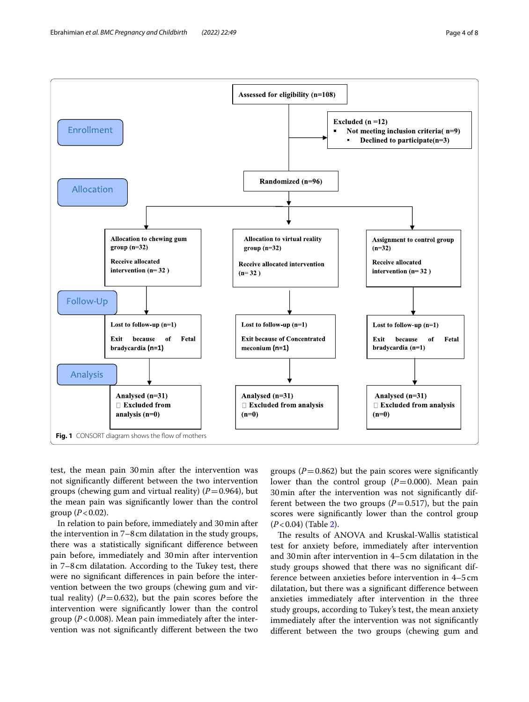

<span id="page-3-0"></span>test, the mean pain 30min after the intervention was not signifcantly diferent between the two intervention groups (chewing gum and virtual reality)  $(P=0.964)$ , but the mean pain was signifcantly lower than the control group  $(P < 0.02)$ .

In relation to pain before, immediately and 30min after the intervention in 7–8cm dilatation in the study groups, there was a statistically signifcant diference between pain before, immediately and 30min after intervention in 7–8cm dilatation. According to the Tukey test, there were no signifcant diferences in pain before the intervention between the two groups (chewing gum and virtual reality)  $(P=0.632)$ , but the pain scores before the intervention were signifcantly lower than the control group (*P*<0.008). Mean pain immediately after the intervention was not signifcantly diferent between the two

groups  $(P=0.862)$  but the pain scores were significantly lower than the control group  $(P=0.000)$ . Mean pain 30min after the intervention was not signifcantly different between the two groups  $(P=0.517)$ , but the pain scores were signifcantly lower than the control group (*P*<0.04) (Table [2\)](#page-4-1).

The results of ANOVA and Kruskal-Wallis statistical test for anxiety before, immediately after intervention and 30min after intervention in 4–5cm dilatation in the study groups showed that there was no signifcant difference between anxieties before intervention in 4–5 cm dilatation, but there was a signifcant diference between anxieties immediately after intervention in the three study groups, according to Tukey's test, the mean anxiety immediately after the intervention was not signifcantly diferent between the two groups (chewing gum and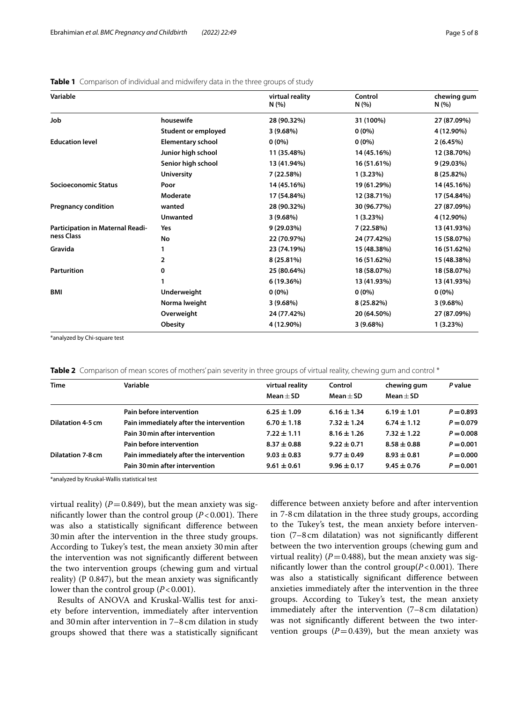# <span id="page-4-0"></span>**Table 1** Comparison of individual and midwifery data in the three groups of study

| Variable                                |                          | virtual reality<br>N(%) | Control<br>N(% ) | chewing gum<br>N(%) |
|-----------------------------------------|--------------------------|-------------------------|------------------|---------------------|
| Job                                     | housewife                | 28 (90.32%)             | 31 (100%)        | 27 (87.09%)         |
|                                         | Student or employed      | 3(9.68%)                | $0(0\%)$         | 4 (12.90%)          |
| <b>Education level</b>                  | <b>Elementary school</b> | $0(0\%)$                | $0(0\%)$         | 2(6.45%)            |
|                                         | Junior high school       | 11 (35.48%)             | 14 (45.16%)      | 12 (38.70%)         |
|                                         | Senior high school       | 13 (41.94%)             | 16 (51.61%)      | 9 (29.03%)          |
|                                         | <b>University</b>        | 7 (22.58%)              | 1(3.23%)         | 8 (25.82%)          |
| <b>Socioeconomic Status</b>             | Poor                     | 14 (45.16%)             | 19 (61.29%)      | 14 (45.16%)         |
|                                         | Moderate                 | 17 (54.84%)             | 12 (38.71%)      | 17 (54.84%)         |
| <b>Pregnancy condition</b>              | wanted                   | 28 (90.32%)             | 30 (96.77%)      | 27 (87.09%)         |
|                                         | <b>Unwanted</b>          | $3(9.68\%)$             | 1(3.23%)         | 4 (12.90%)          |
| <b>Participation in Maternal Readi-</b> | Yes                      | 9 (29.03%)              | 7 (22.58%)       | 13 (41.93%)         |
| ness Class                              | No                       | 22 (70.97%)             | 24 (77.42%)      | 15 (58.07%)         |
| Gravida                                 |                          | 23 (74.19%)             | 15 (48.38%)      | 16 (51.62%)         |
|                                         | 2                        | 8 (25.81%)              | 16 (51.62%)      | 15 (48.38%)         |
| <b>Parturition</b>                      | 0                        | 25 (80.64%)             | 18 (58.07%)      | 18 (58.07%)         |
|                                         |                          | 6 (19.36%)              | 13 (41.93%)      | 13 (41.93%)         |
| <b>BMI</b>                              | Underweight              | $0(0\%)$                | $0(0\%)$         | $0(0\%)$            |
|                                         | Norma Iweight            | 3(9.68%)                | 8 (25.82%)       | 3(9.68%)            |
|                                         | Overweight               | 24 (77.42%)             | 20 (64.50%)      | 27 (87.09%)         |
|                                         | Obesity                  | 4 (12.90%)              | 3(9.68%)         | 1(3.23%)            |

\*analyzed by Chi-square test

<span id="page-4-1"></span>

|  |  |  | <b>Table 2</b> Comparison of mean scores of mothers' pain severity in three groups of virtual reality, chewing gum and control * |  |  |
|--|--|--|----------------------------------------------------------------------------------------------------------------------------------|--|--|
|  |  |  |                                                                                                                                  |  |  |

| <b>Time</b>                    | Variable                                | virtual reality<br>$Mean + SD$ | Control<br>$Mean + SD$ | chewing gum<br>$Mean + SD$ | P value     |
|--------------------------------|-----------------------------------------|--------------------------------|------------------------|----------------------------|-------------|
|                                | Pain before intervention                | $6.25 \pm 1.09$                | $6.16 \pm 1.34$        | $6.19 \pm 1.01$            | $P = 0.893$ |
| Dilatation 4-5 cm              | Pain immediately after the intervention | $6.70 \pm 1.18$                | $7.32 \pm 1.24$        | $6.74 \pm 1.12$            | $P = 0.079$ |
| Pain 30 min after intervention |                                         | $7.22 \pm 1.11$                | $8.16 \pm 1.26$        | $7.32 \pm 1.22$            | $P = 0.008$ |
|                                | Pain before intervention                | $8.37 \pm 0.88$                | $9.22 \pm 0.71$        | $8.58 \pm 0.88$            | $P = 0.001$ |
| <b>Dilatation 7-8 cm</b>       | Pain immediately after the intervention | $9.03 \pm 0.83$                | $9.77 \pm 0.49$        | $8.93 \pm 0.81$            | $P = 0.000$ |
|                                | Pain 30 min after intervention          | $9.61 \pm 0.61$                | $9.96 \pm 0.17$        | $9.45 \pm 0.76$            | $P = 0.001$ |

\*analyzed by Kruskal-Wallis statistical test

virtual reality)  $(P=0.849)$ , but the mean anxiety was significantly lower than the control group  $(P<0.001)$ . There was also a statistically signifcant diference between 30min after the intervention in the three study groups. According to Tukey's test, the mean anxiety 30min after the intervention was not signifcantly diferent between the two intervention groups (chewing gum and virtual reality) (P 0.847), but the mean anxiety was signifcantly lower than the control group ( $P < 0.001$ ).

Results of ANOVA and Kruskal-Wallis test for anxiety before intervention, immediately after intervention and 30min after intervention in 7–8 cm dilation in study groups showed that there was a statistically signifcant diference between anxiety before and after intervention in 7-8cm dilatation in the three study groups, according to the Tukey's test, the mean anxiety before intervention (7–8cm dilatation) was not signifcantly diferent between the two intervention groups (chewing gum and virtual reality) ( $P = 0.488$ ), but the mean anxiety was significantly lower than the control  $group(P<0.001)$ . There was also a statistically signifcant diference between anxieties immediately after the intervention in the three groups. According to Tukey's test, the mean anxiety immediately after the intervention (7–8cm dilatation) was not signifcantly diferent between the two intervention groups  $(P=0.439)$ , but the mean anxiety was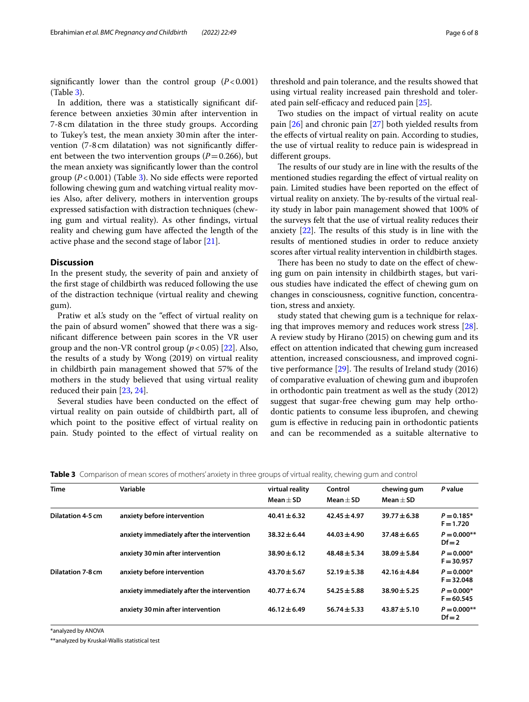significantly lower than the control group  $(P<0.001)$ (Table [3](#page-5-0)).

In addition, there was a statistically signifcant difference between anxieties 30min after intervention in 7-8cm dilatation in the three study groups. According to Tukey's test, the mean anxiety 30min after the intervention (7-8 cm dilatation) was not signifcantly diferent between the two intervention groups  $(P=0.266)$ , but the mean anxiety was signifcantly lower than the control group (*P*<0.001) (Table [3](#page-5-0)). No side efects were reported following chewing gum and watching virtual reality movies Also, after delivery, mothers in intervention groups expressed satisfaction with distraction techniques (chewing gum and virtual reality). As other fndings, virtual reality and chewing gum have afected the length of the active phase and the second stage of labor [[21](#page-7-16)].

# **Discussion**

In the present study, the severity of pain and anxiety of the frst stage of childbirth was reduced following the use of the distraction technique (virtual reality and chewing gum).

Pratiw et al's study on the "effect of virtual reality on the pain of absurd women" showed that there was a signifcant diference between pain scores in the VR user group and the non-VR control group  $(p<0.05)$  [\[22\]](#page-7-17). Also, the results of a study by Wong (2019) on virtual reality in childbirth pain management showed that 57% of the mothers in the study believed that using virtual reality reduced their pain [\[23](#page-7-18), [24](#page-7-19)].

Several studies have been conducted on the efect of virtual reality on pain outside of childbirth part, all of which point to the positive effect of virtual reality on pain. Study pointed to the efect of virtual reality on

threshold and pain tolerance, and the results showed that using virtual reality increased pain threshold and tolerated pain self-efficacy and reduced pain  $[25]$  $[25]$ .

Two studies on the impact of virtual reality on acute pain [\[26](#page-7-21)] and chronic pain [\[27](#page-7-22)] both yielded results from the effects of virtual reality on pain. According to studies, the use of virtual reality to reduce pain is widespread in diferent groups.

The results of our study are in line with the results of the mentioned studies regarding the efect of virtual reality on pain. Limited studies have been reported on the efect of virtual reality on anxiety. The by-results of the virtual reality study in labor pain management showed that 100% of the surveys felt that the use of virtual reality reduces their anxiety  $[22]$  $[22]$  $[22]$ . The results of this study is in line with the results of mentioned studies in order to reduce anxiety scores after virtual reality intervention in childbirth stages.

There has been no study to date on the effect of chewing gum on pain intensity in childbirth stages, but various studies have indicated the efect of chewing gum on changes in consciousness, cognitive function, concentration, stress and anxiety.

study stated that chewing gum is a technique for relaxing that improves memory and reduces work stress [\[28](#page-7-23)]. A review study by Hirano (2015) on chewing gum and its efect on attention indicated that chewing gum increased attention, increased consciousness, and improved cognitive performance  $[29]$  $[29]$ . The results of Ireland study (2016) of comparative evaluation of chewing gum and ibuprofen in orthodontic pain treatment as well as the study (2012) suggest that sugar-free chewing gum may help orthodontic patients to consume less ibuprofen, and chewing gum is efective in reducing pain in orthodontic patients and can be recommended as a suitable alternative to

<span id="page-5-0"></span>**Table 3** Comparison of mean scores of mothers' anxiety in three groups of virtual reality, chewing gum and control

| <b>Time</b>              | Variable                                   | virtual reality<br>$Mean + SD$ | Control<br>$Mean + SD$ | chewing gum<br>$Mean + SD$ | P value                      |
|--------------------------|--------------------------------------------|--------------------------------|------------------------|----------------------------|------------------------------|
| <b>Dilatation 4-5 cm</b> | anxiety before intervention                | $40.41 \pm 6.32$               | $42.45 \pm 4.97$       | $39.77 \pm 6.38$           | $P = 0.185*$<br>$F = 1.720$  |
|                          | anxiety immediately after the intervention | $38.32 \pm 6.44$               | $44.03 \pm 4.90$       | $37.48 \pm 6.65$           | $P = 0.000**$<br>$Df = 2$    |
|                          | anxiety 30 min after intervention          | $38.90 \pm 6.12$               | $48.48 \pm 5.34$       | $38.09 \pm 5.84$           | $P = 0.000*$<br>$F = 30.957$ |
| <b>Dilatation 7-8 cm</b> | anxiety before intervention                | $43.70 \pm 5.67$               | $52.19 \pm 5.38$       | $42.16 \pm 4.84$           | $P = 0.000*$<br>$F = 32.048$ |
|                          | anxiety immediately after the intervention | $40.77 \pm 6.74$               | $54.25 \pm 5.88$       | $38.90 \pm 5.25$           | $P = 0.000*$<br>$F = 60.545$ |
|                          | anxiety 30 min after intervention          | $46.12 \pm 6.49$               | $56.74 \pm 5.33$       | $43.87 \pm 5.10$           | $P = 0.000**$<br>$Df = 2$    |

\*analyzed by ANOVA

\*\*analyzed by Kruskal-Wallis statistical test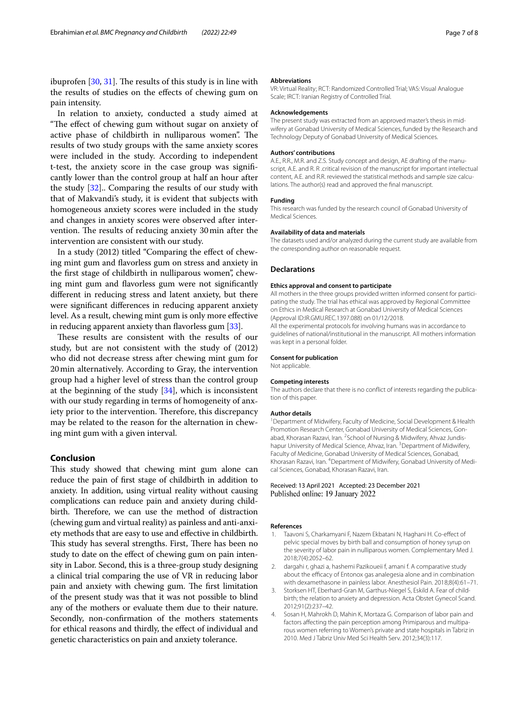ibuprofen  $[30, 31]$  $[30, 31]$  $[30, 31]$ . The results of this study is in line with the results of studies on the efects of chewing gum on pain intensity.

In relation to anxiety, conducted a study aimed at "The effect of chewing gum without sugar on anxiety of active phase of childbirth in nulliparous women". The results of two study groups with the same anxiety scores were included in the study. According to independent t-test, the anxiety score in the case group was signifcantly lower than the control group at half an hour after the study [\[32](#page-7-27)].. Comparing the results of our study with that of Makvandi's study, it is evident that subjects with homogeneous anxiety scores were included in the study and changes in anxiety scores were observed after intervention. The results of reducing anxiety 30 min after the intervention are consistent with our study.

In a study (2012) titled "Comparing the efect of chewing mint gum and favorless gum on stress and anxiety in the frst stage of childbirth in nulliparous women", chewing mint gum and favorless gum were not signifcantly diferent in reducing stress and latent anxiety, but there were signifcant diferences in reducing apparent anxiety level. As a result, chewing mint gum is only more efective in reducing apparent anxiety than favorless gum [\[33](#page-7-28)].

These results are consistent with the results of our study, but are not consistent with the study of (2012) who did not decrease stress after chewing mint gum for 20min alternatively. According to Gray, the intervention group had a higher level of stress than the control group at the beginning of the study [[34](#page-7-29)], which is inconsistent with our study regarding in terms of homogeneity of anxiety prior to the intervention. Therefore, this discrepancy may be related to the reason for the alternation in chewing mint gum with a given interval.

# **Conclusion**

This study showed that chewing mint gum alone can reduce the pain of frst stage of childbirth in addition to anxiety. In addition, using virtual reality without causing complications can reduce pain and anxiety during childbirth. Therefore, we can use the method of distraction (chewing gum and virtual reality) as painless and anti-anxiety methods that are easy to use and efective in childbirth. This study has several strengths. First, There has been no study to date on the efect of chewing gum on pain intensity in Labor. Second, this is a three-group study designing a clinical trial comparing the use of VR in reducing labor pain and anxiety with chewing gum. The first limitation of the present study was that it was not possible to blind any of the mothers or evaluate them due to their nature. Secondly, non-confrmation of the mothers statements for ethical reasons and thirdly, the efect of individual and genetic characteristics on pain and anxiety tolerance.

#### **Abbreviations**

VR: Virtual Reality; RCT: Randomized Controlled Trial; VAS: Visual Analogue Scale; IRCT: Iranian Registry of Controlled Trial.

#### **Acknowledgements**

The present study was extracted from an approved master's thesis in midwifery at Gonabad University of Medical Sciences, funded by the Research and Technology Deputy of Gonabad University of Medical Sciences.

#### **Authors' contributions**

A.E., R.R., M.R. and Z.S. Study concept and design, AE drafting of the manuscript, A.E. and R. R .critical revision of the manuscript for important intellectual content, A.E. and R.R. reviewed the statistical methods and sample size calculations. The author(s) read and approved the fnal manuscript.

#### **Funding**

This research was funded by the research council of Gonabad University of Medical Sciences.

#### **Availability of data and materials**

The datasets used and/or analyzed during the current study are available from the corresponding author on reasonable request.

#### **Declarations**

#### **Ethics approval and consent to participate**

All mothers in the three groups provided written informed consent for participating the study. The trial has ethical was approved by Regional Committee on Ethics in Medical Research at Gonabad University of Medical Sciences (Approval ID:IR.GMU.REC.1397.088) on 01/12/2018. All the experimental protocols for involving humans was in accordance to

guidelines of national/institutional in the manuscript. All mothers information was kept in a personal folder.

#### **Consent for publication**

Not applicable.

#### **Competing interests**

The authors declare that there is no confict of interests regarding the publication of this paper.

#### **Author details**

<sup>1</sup> Department of Midwifery, Faculty of Medicine, Social Development & Health Promotion Research Center, Gonabad University of Medical Sciences, Gonabad, Khorasan Razavi, Iran. <sup>2</sup>School of Nursing & Midwifery, Ahvaz Jundishapur University of Medical Science, Ahvaz, Iran. <sup>3</sup> Department of Midwifery, Faculty of Medicine, Gonabad University of Medical Sciences, Gonabad, Khorasan Razavi, Iran. <sup>4</sup> Department of Midwifery, Gonabad University of Medical Sciences, Gonabad, Khorasan Razavi, Iran.

#### Received: 13 April 2021 Accepted: 23 December 2021 Published online: 19 January 2022

#### **References**

- <span id="page-6-0"></span>1. Taavoni S, Charkamyani F, Nazem Ekbatani N, Haghani H. Co-efect of pelvic special moves by birth ball and consumption of honey syrup on the severity of labor pain in nulliparous women. Complementary Med J. 2018;7(4):2052–62.
- <span id="page-6-1"></span>2. dargahi r, ghazi a, hashemi Pazikoueii f, amani f. A comparative study about the efficacy of Entonox gas analegesia alone and in combination with dexamethasone in painless labor. Anesthesiol Pain. 2018;8(4):61–71.
- <span id="page-6-2"></span>3. Storksen HT, Eberhard-Gran M, Garthus-Niegel S, Eskild A. Fear of childbirth; the relation to anxiety and depression. Acta Obstet Gynecol Scand. 2012;91(2):237–42.
- <span id="page-6-3"></span>4. Sosan H, Mahrokh D, Mahin K, Mortaza G. Comparison of labor pain and factors afecting the pain perception among Primiparous and multiparous women referring to Women's private and state hospitals in Tabriz in 2010. Med J Tabriz Univ Med Sci Health Serv. 2012;34(3):117.